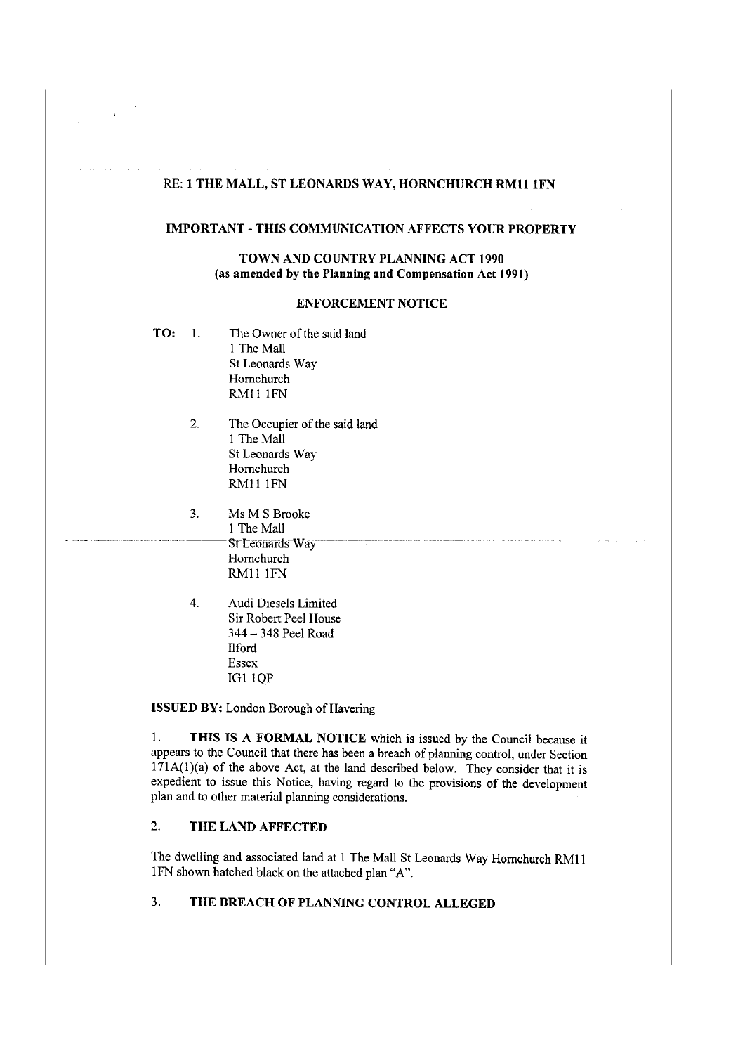## RE: **1 THE MALL, ST LEONARDS WAY, HORNCHURCH RMll lFN**

## **IMPORTANT-THIS COMMUNICATION AFFECTS YOUR PROPERTY**

## **TOWN AND COUNTRY PLANNING ACT 1990** (as **amended by the Planning and Compensation Act 1991)**

#### **ENFORCEMENT NOTICE**

- **TO:** 1. The Owner of the said land 1 The Mall St Leonards Way Homchurch RMll lFN
	- 2. The Occupier of the said land 1 The Mall St Leonards Way Homchurch RMl **l** lFN
	- 3. Ms MS Brooke I The Mall **St Leonards Way** Hornchurch RM!l lFN
	- 4. Audi Diesels Limited Sir Robert Peel House 344 - 348 Peel Road Ilford Essex IGl lQP

**ISSUED BY:** London Borough of Havering

1. **THIS IS A FORMAL NOTICE** which is issued by the Council because it appears to the Council that there has been a breach of planning control, under Section  $171A(1)(a)$  of the above Act, at the land described below. They consider that it is expedient to issue this Notice, having regard to the provisions of the development plan and to other material planning considerations.

# 2. **THE LAND AFFECTED**

The dwelling and associated land at I The Mall St Leonards Way Homchurch RMI I JFN shown hatched black on the attached plan "A".

# 3. **THE BREACH OF PLANNING CONTROL ALLEGED**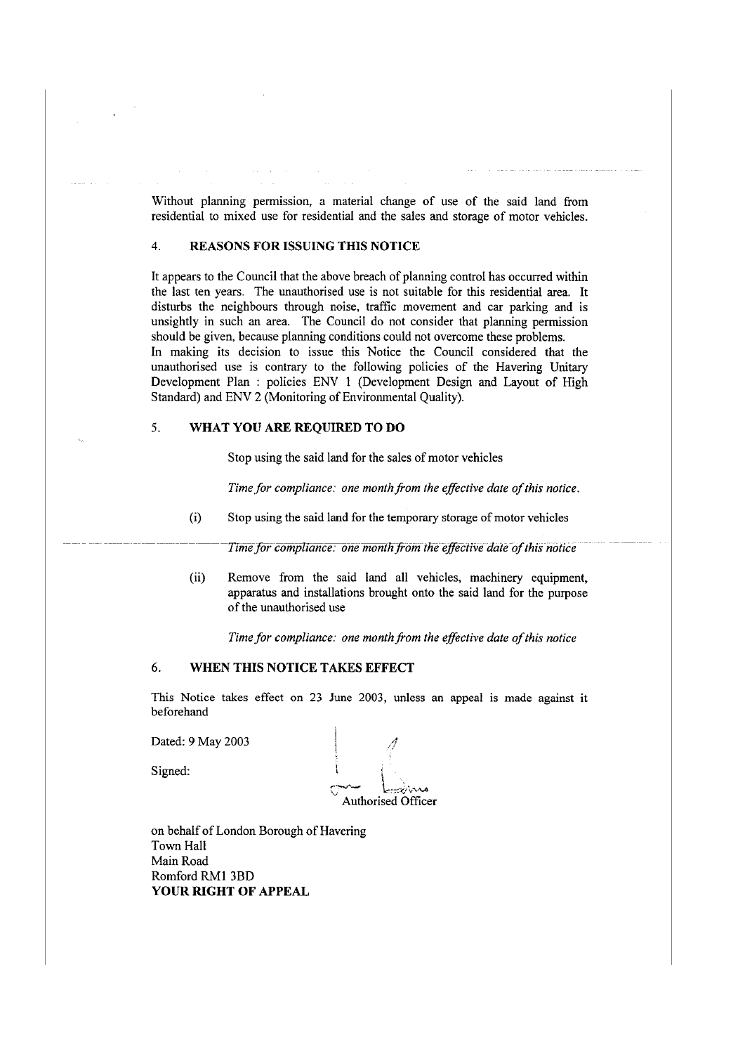Without planning permission, a material change of use of the said land from residential to mixed use for residential and the sales and storage of motor vehicles.

### 4. **REASONS FOR ISSUING THIS NOTICE**

It appears to the Council that the above breach of planning control has occurred within the last ten years. The unauthorised use is not suitable for this residential area. It disturbs the neighbours through noise, traffic movement and car parking and is unsightly in such an area. The Council do not consider that planning permission should be given, because planning conditions could not overcome these problems. In making its decision to issue this Notice the Council considered that the unauthorised use is contrary to the following policies of the Havering Unitary Development Plan : policies ENV 1 (Development Design and Layout of High Standard) and ENV 2 (Monitoring of Environmental Quality).

### 5. **WHAT YOU ARE REQUIRED TO DO**

Stop using the said land for the sales of motor vehicles

*Time for compliance: one month from the effective date of this notice.* 

(i) Stop using the said land for the temporary storage of motor vehicles

Time for compliance: one month from the effective date of this notice

(ii) Remove from the said land all vehicles, machinery equipment, apparatus and installations brought onto the said land for the purpose of the unauthorised use

Time for compliance: one month from the effective date of this notice

# 6. **WHEN THIS NOTICE TAKES EFFECT**

This Notice takes effect on 23 June 2003, unless an appeal is made against it beforehand

Dated: 9 May 2003

Signed:

.1/

Authorised Officer

on behalf of London Borough of Havering Town Hall Main Road Romford RMI 3BD **YOUR RIGHT OF APPEAL**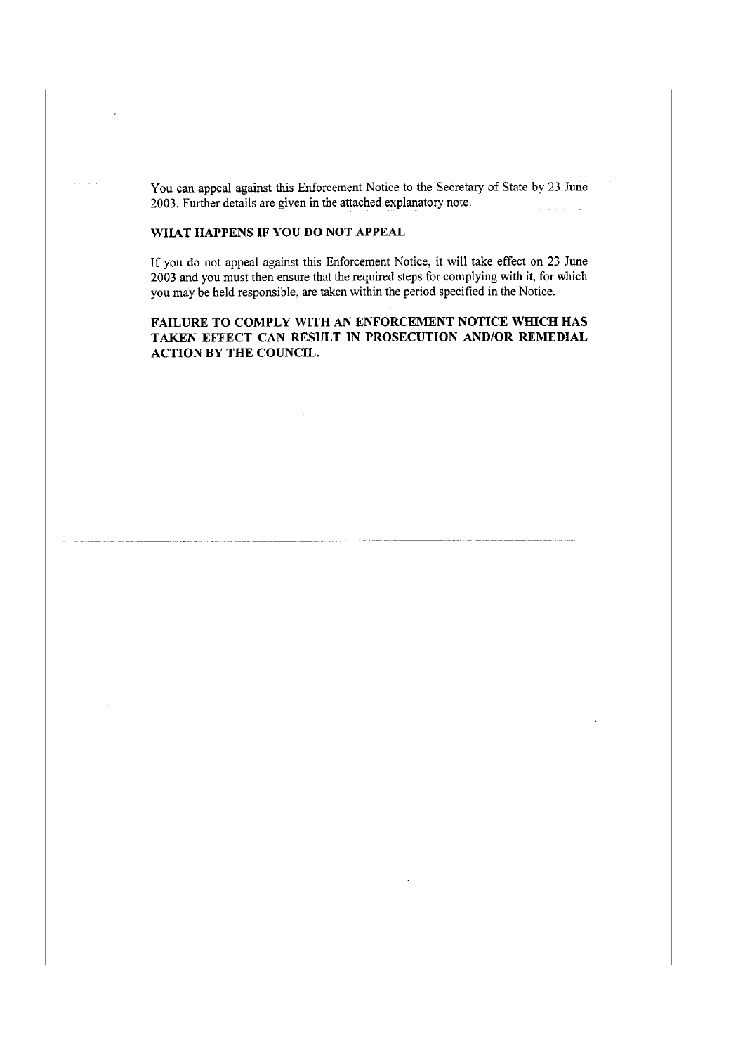You can appeal against this Enforcement Notice to the Secretary of State by 23 June 2003. Further details are given in the attached explanatory note.  $\Delta$  and  $\Delta$  and  $\Delta$ 

## **WHAT HAPPENS IF YOU DO NOT APPEAL**

If you do not appeal against this Enforcement Notice, it will take effect on 23 June 2003 and you must then ensure that the required steps for complying with it, for which you may be held responsible, are taken within the period specified in the Notice.

**FAILURE TO COMPLY WITH AN ENFORCEMENT NOTICE WHICH HAS TAKEN EFFECT CAN RESULT IN PROSECUTION AND/OR REMEDIAL ACTION BY THE COUNCIL.**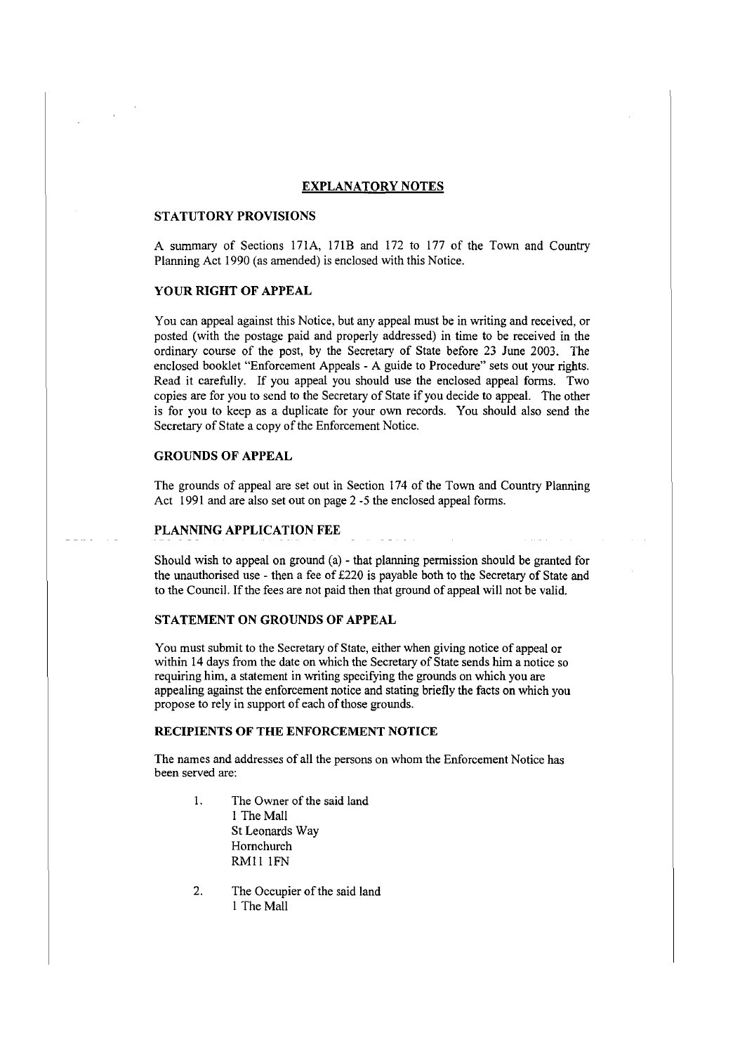#### **EXPLANATORY NOTES**

## **STATUTORY PROVISIONS**

A summary of Sections 171A, 171B and 172 to 177 of the Town and Country Planning Act 1990 (as amended) is enclosed with this Notice.

## **YOUR RIGHT OF APPEAL**

You can appeal against this Notice, but any appeal must be in writing and received, or posted (with the postage paid and properly addressed) in time to be received in the ordinary course of the post, by the Secretary of State before 23 June 2003. The enclosed booklet "Enforcement Appeals - A guide to Procedure" sets out your rights. Read it carefully. If you appeal you should use the enclosed appeal forms. Two copies are for you to send to the Secretary of State if you decide to appeal. The other is for you to keep as a duplicate for your own records. You should also send the Secretary of State a copy of the Enforcement Notice.

# **GROUNDS OF APPEAL**

The grounds of appeal are set out in Section 174 of the Town and Country Planning Act 1991 and are also set out on page 2 -5 the enclosed appeal forms.

### **PLANNING APPLICATION FEE**

Should wish to appeal on ground (a) - that planning permission should be granted for the unauthorised use - then a fee of £220 is payable both to the Secretary of State and to the Council. If the fees are not paid then that ground of appeal will not be valid.

#### **STATEMENT ON GROUNDS OF APPEAL**

You must submit to the Secretary of State, either when giving notice of appeal or within 14 days from the date on which the Secretary of State sends him a notice so requiring him, a statement in writing specifying the grounds on which you are appealing against the enforcement notice and stating briefly the facts on which you propose to rely in support of each of those grounds.

## **RECIPIENTS OF THE ENFORCEMENT NOTICE**

The names and addresses of all the persons on whom the Enforcement Notice has been served are:

- 1. The Owner of the said land I The Mall St Leonards Way Hornchurch RMll IFN
- 2. The Occupier of the said land 1 The Mall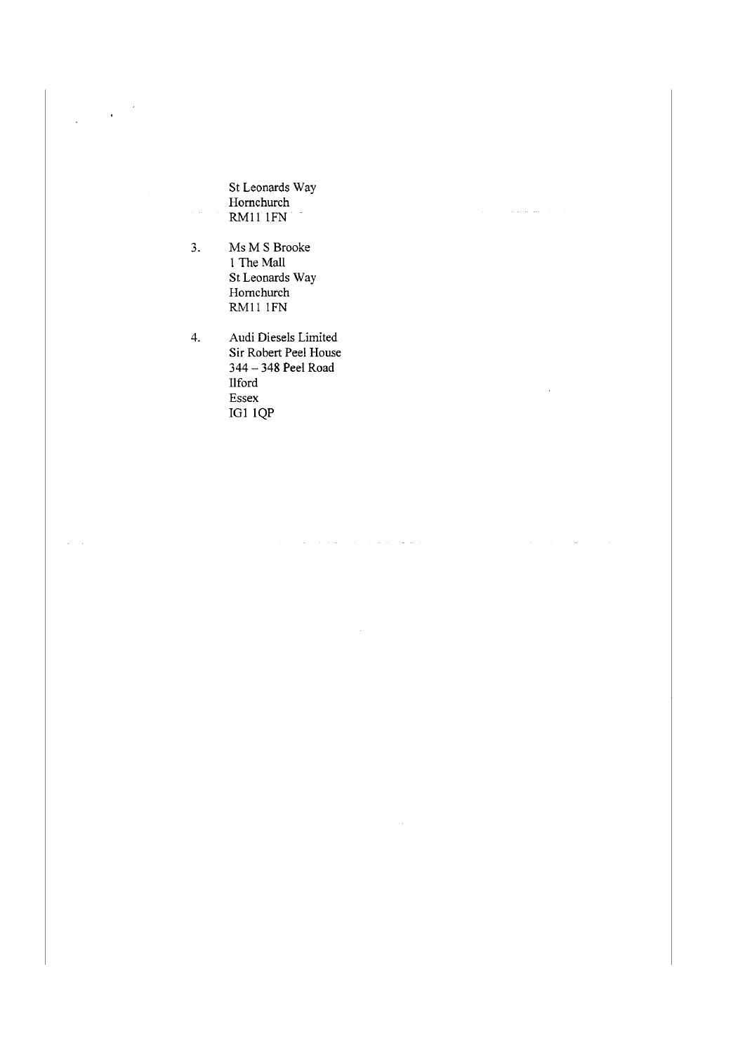St Leonards Way Hornchurch RM11 IFN

 $\mathcal{A}^{\mathcal{A}}$  and  $\mathcal{A}^{\mathcal{A}}$  are the set of  $\mathcal{A}^{\mathcal{A}}$  and

 $\mathcal{A}^{\mathcal{A}}$  and  $\mathcal{A}^{\mathcal{A}}$  and  $\mathcal{A}^{\mathcal{A}}$ 

3. Ms M S Brooke 1 The Mall St Leonards Way Hornchurch RM11 IFN

 $\hat{\mathcal{L}}$ 

 $\bar{\beta}$  $\bar{z}$ 

 $\overline{\phantom{a}}$ 

 $\mathcal{A}=\mathcal{A}$ 

4. Audi Diesels Limited Sir Robert Peel House 344 - 348 Peel Road IIford Essex IGI !QP

 $\hat{u}$  , and the second constraint in the second constraint  $\hat{u}$